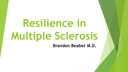# **Resilience in Multiple Sclerosis**

**Brandon Beaber M.D.**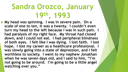## **Sandra Orozco, January 19th, 1993**

**My head was spinning. I was in severe pain. On a scale of one to ten, it was a twenty. I couldn't even turn my head to the left because I was in such pain. I had paralysis of my right face. My throat had closed down, and I could not eat. I had peripheral blindness of both eyes. I felt like I was dying. I lost faith. I lost hope. I lost my career as a healthcare professional. I was slowly going into a state of depression, and I felt worthless to society. I went to my nephew Jonathan when he was seven days old, and I said to him, "I'm not going to be around. I'm going to be a little angel watching over you."**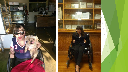

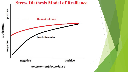

outcome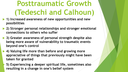## **Posttraumatic Growth (Tedeschi and Calhoun)**

- ▶ 1) Increased awareness of new opportunities and new **possibilities**
- ▶ 2) Stronger personal relationships and stronger emotional **connections to others who suffer**
- ▶ 3) Greater awareness of personal strength despite also **being more aware of vulnerability to traumatic events beyond one's control**
- ▶ 4) Valuing life more than before and growing more **appreciative of things that previously might have been taken for granted**
	- u **5) Experiencing a deeper spiritual life, sometimes also resulting in a change in one's belief system**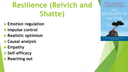## **Resilience (Reivich and Shatte)**

- **Emotion regulation**
- **Impulse control**
- **Realistic optimism**
- **Causal analysis**
- **Empathy**
- **Self-efficacy**
- **Reaching out**





Leon T. Brick, M.D., accepted at the Albert Lader A.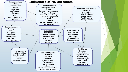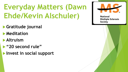## **Everyday Matters (Dawn Ehde/Kevin Alschuler)**

- **Gratitude journal**
- **Meditation**
- **Altruism**
- **1. "20 second rule"**
- **Invest in social support**



**National Multiple Sclerosis** Society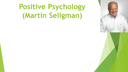## **Positive Psychology (Martin Seligman)**

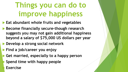## **Things you can do to improve happiness**

- **Eat abundant whole fruits and vegetables**
- **Become financially secure-though research suggests you may not gain additional happiness beyond a salary of \$75,000 US dollars per year**
- **Develop a strong social network**
- **Find a job/career you enjoy**
- **Get married, especially to a happy person** 
	- **Spend time with happy people**

**Exercise**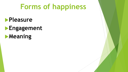## **Forms of happiness**

#### **Pleasure**

## **Engagement**

#### **Meaning**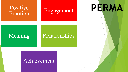# Positive **Engagement** PERMA

### Meaning Relationships

#### Achievement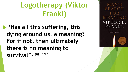## **Logotherapy (Viktor Frankl)**

**P** "Has all this suffering, this **dying around us, a meaning? For if not, then ultimately there is no meaning to survival"- pg. 115**

MAN'S **SEARCH FOR** MEANING VIKTOR E. FRANKL

> WITH A NEW FOREWORD BY HAROLD S. KUSHNER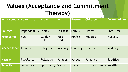### **Values (Acceptance and Commitment Therapy)**

| Achievement Adventure |                             | <b>Altruism</b> | <b>Art</b>          | <b>Beauty</b> | <b>Children</b>               | <b>Connectedness</b> |
|-----------------------|-----------------------------|-----------------|---------------------|---------------|-------------------------------|----------------------|
| <b>Courage</b>        | <b>Dependability Ethics</b> |                 | <b>Fairness</b>     | Family        | <b>Fitness</b>                | <b>Free Time</b>     |
| Friendship            | Fun                         | Golden<br>Rule  | <b>Hard</b><br>work | <b>Health</b> | <b>Hobbies</b>                | Honesty              |
| Independence          | Influence                   | Integrity       | <b>Intimacy</b>     | Learning      | Loyalty                       | Modesty              |
| <b>Nature</b>         | Popularity                  | Relaxation      | Religion            | Respect       | Romance                       | Sacrifice            |
| Security              | <b>Social Life</b>          | Spirituality    | <b>Status</b>       | <b>Travel</b> | <b>Trustworthiness Wealth</b> |                      |